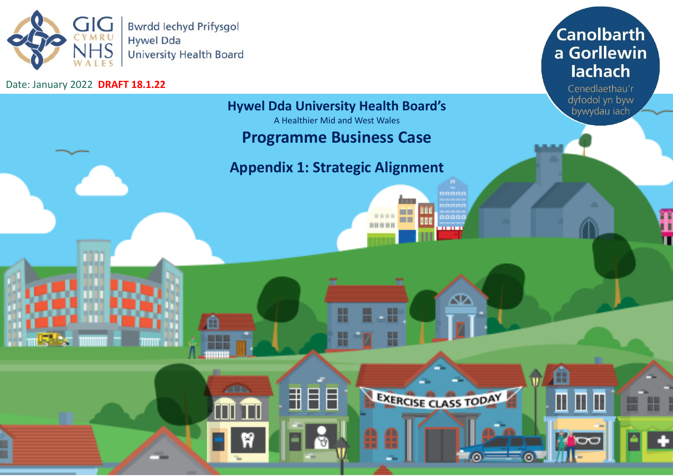

m

٤Y

**ZED** 

Date: January 2022 **DRAFT 18.1.22** 

# **Canolbarth** a Gorllewin lachach

Cenedlaethau'r dyfodol yn byw bywydau iach

B

 $\blacksquare$ 

田田

**TOC** 

m

### **Hywel Dda University Health Board's**

A Healthier Mid and West Wales

# **Programme Business Case**

# **Appendix 1: Strategic Alignment**

₩

H

用目目

nnnnn T aaaai - 1 **BOOK DE DE LA** 

m

∞

EXERCISE CLASS TODAY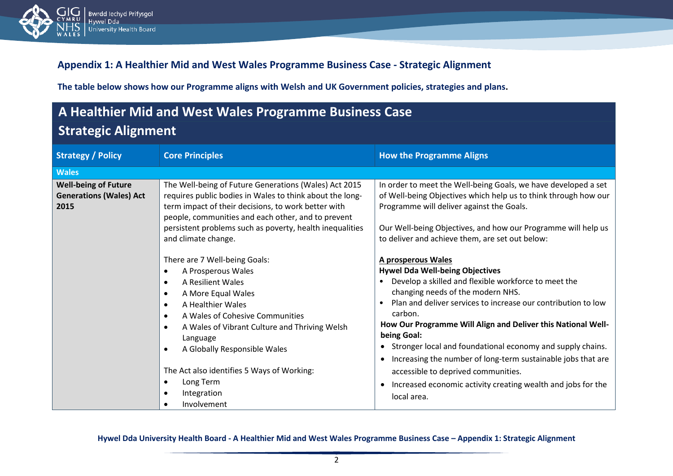

#### **Appendix 1: A Healthier Mid and West Wales Programme Business Case - Strategic Alignment**

**The table below shows how our Programme aligns with Welsh and UK Government policies, strategies and plans.**

# **A Healthier Mid and West Wales Programme Business Case Strategic Alignment**

| <b>Strategy / Policy</b>                                              | <b>Core Principles</b>                                                                                                                                                                                                                                                                                                                       | <b>How the Programme Aligns</b>                                                                                                                                                                                                                                                                                                                                                                                                                                                                                                                                            |
|-----------------------------------------------------------------------|----------------------------------------------------------------------------------------------------------------------------------------------------------------------------------------------------------------------------------------------------------------------------------------------------------------------------------------------|----------------------------------------------------------------------------------------------------------------------------------------------------------------------------------------------------------------------------------------------------------------------------------------------------------------------------------------------------------------------------------------------------------------------------------------------------------------------------------------------------------------------------------------------------------------------------|
|                                                                       |                                                                                                                                                                                                                                                                                                                                              |                                                                                                                                                                                                                                                                                                                                                                                                                                                                                                                                                                            |
| <b>Wales</b>                                                          |                                                                                                                                                                                                                                                                                                                                              |                                                                                                                                                                                                                                                                                                                                                                                                                                                                                                                                                                            |
| <b>Well-being of Future</b><br><b>Generations (Wales) Act</b><br>2015 | The Well-being of Future Generations (Wales) Act 2015<br>requires public bodies in Wales to think about the long-<br>term impact of their decisions, to work better with<br>people, communities and each other, and to prevent<br>persistent problems such as poverty, health inequalities<br>and climate change.                            | In order to meet the Well-being Goals, we have developed a set<br>of Well-being Objectives which help us to think through how our<br>Programme will deliver against the Goals.<br>Our Well-being Objectives, and how our Programme will help us<br>to deliver and achieve them, are set out below:                                                                                                                                                                                                                                                                         |
|                                                                       | There are 7 Well-being Goals:<br>A Prosperous Wales<br>A Resilient Wales<br>A More Equal Wales<br>A Healthier Wales<br>A Wales of Cohesive Communities<br>A Wales of Vibrant Culture and Thriving Welsh<br>Language<br>A Globally Responsible Wales<br>The Act also identifies 5 Ways of Working:<br>Long Term<br>Integration<br>Involvement | A prosperous Wales<br><b>Hywel Dda Well-being Objectives</b><br>Develop a skilled and flexible workforce to meet the<br>changing needs of the modern NHS.<br>Plan and deliver services to increase our contribution to low<br>carbon.<br>How Our Programme Will Align and Deliver this National Well-<br>being Goal:<br>• Stronger local and foundational economy and supply chains.<br>Increasing the number of long-term sustainable jobs that are<br>accessible to deprived communities.<br>Increased economic activity creating wealth and jobs for the<br>local area. |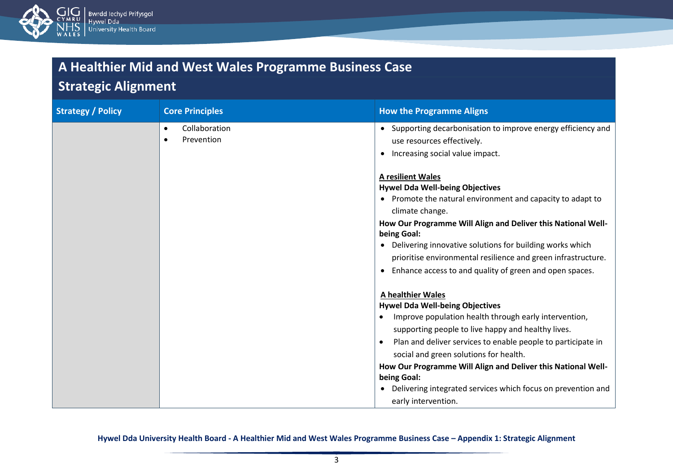

### **Strategic Alignment**

| <b>Strategy / Policy</b> | <b>Core Principles</b>      | <b>How the Programme Aligns</b>                                                                                                                                                                                                                                                                                                                                                                                                                                                               |
|--------------------------|-----------------------------|-----------------------------------------------------------------------------------------------------------------------------------------------------------------------------------------------------------------------------------------------------------------------------------------------------------------------------------------------------------------------------------------------------------------------------------------------------------------------------------------------|
|                          | Collaboration<br>Prevention | • Supporting decarbonisation to improve energy efficiency and<br>use resources effectively.<br>Increasing social value impact.                                                                                                                                                                                                                                                                                                                                                                |
|                          |                             | <b>A resilient Wales</b><br><b>Hywel Dda Well-being Objectives</b><br>• Promote the natural environment and capacity to adapt to<br>climate change.<br>How Our Programme Will Align and Deliver this National Well-<br>being Goal:<br>• Delivering innovative solutions for building works which<br>prioritise environmental resilience and green infrastructure.<br>Enhance access to and quality of green and open spaces.                                                                  |
|                          |                             | <b>A healthier Wales</b><br><b>Hywel Dda Well-being Objectives</b><br>Improve population health through early intervention,<br>$\bullet$<br>supporting people to live happy and healthy lives.<br>Plan and deliver services to enable people to participate in<br>$\bullet$<br>social and green solutions for health.<br>How Our Programme Will Align and Deliver this National Well-<br>being Goal:<br>• Delivering integrated services which focus on prevention and<br>early intervention. |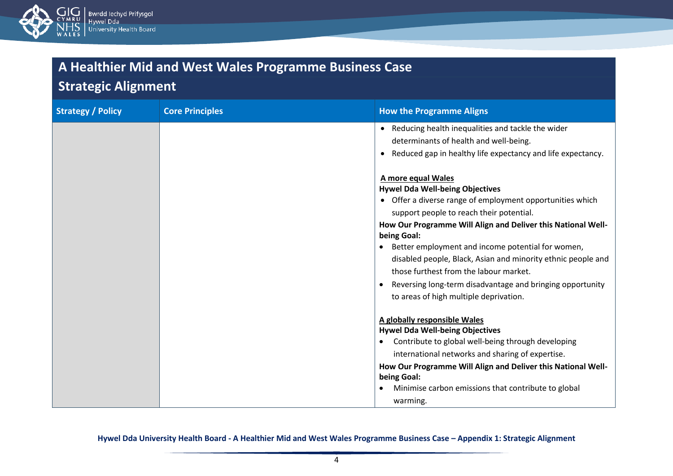

### **Strategic Alignment**

| <b>Strategy / Policy</b> | <b>Core Principles</b> | <b>How the Programme Aligns</b>                                                                                                                                                                                                                                                                                                                                                                                                                                                                                            |
|--------------------------|------------------------|----------------------------------------------------------------------------------------------------------------------------------------------------------------------------------------------------------------------------------------------------------------------------------------------------------------------------------------------------------------------------------------------------------------------------------------------------------------------------------------------------------------------------|
|                          |                        | Reducing health inequalities and tackle the wider<br>determinants of health and well-being.<br>Reduced gap in healthy life expectancy and life expectancy.                                                                                                                                                                                                                                                                                                                                                                 |
|                          |                        | A more equal Wales<br><b>Hywel Dda Well-being Objectives</b><br>• Offer a diverse range of employment opportunities which<br>support people to reach their potential.<br>How Our Programme Will Align and Deliver this National Well-<br>being Goal:<br>Better employment and income potential for women,<br>disabled people, Black, Asian and minority ethnic people and<br>those furthest from the labour market.<br>Reversing long-term disadvantage and bringing opportunity<br>to areas of high multiple deprivation. |
|                          |                        | A globally responsible Wales<br><b>Hywel Dda Well-being Objectives</b><br>Contribute to global well-being through developing<br>$\bullet$<br>international networks and sharing of expertise.<br>How Our Programme Will Align and Deliver this National Well-<br>being Goal:<br>Minimise carbon emissions that contribute to global<br>$\bullet$<br>warming.                                                                                                                                                               |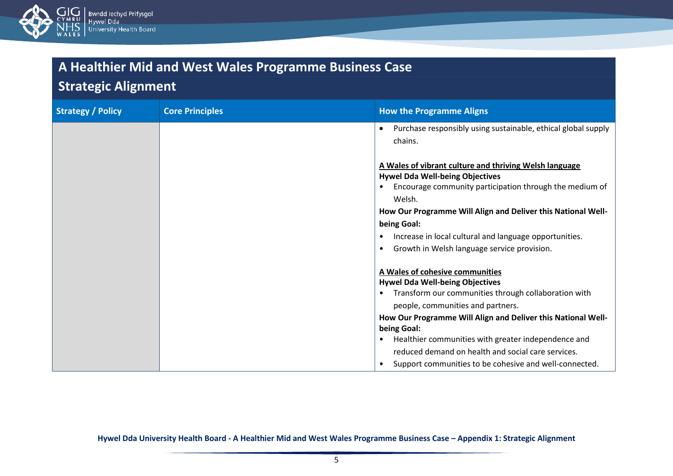

### **Strategic Alignment**

| <b>Strategy / Policy</b> | <b>Core Principles</b> | <b>How the Programme Aligns</b>                                                                                                                                          |
|--------------------------|------------------------|--------------------------------------------------------------------------------------------------------------------------------------------------------------------------|
|                          |                        | Purchase responsibly using sustainable, ethical global supply<br>$\bullet$<br>chains.                                                                                    |
|                          |                        | A Wales of vibrant culture and thriving Welsh language<br><b>Hywel Dda Well-being Objectives</b><br>Encourage community participation through the medium of<br>$\bullet$ |
|                          |                        | Welsh.<br>How Our Programme Will Align and Deliver this National Well-                                                                                                   |
|                          |                        | being Goal:                                                                                                                                                              |
|                          |                        | Increase in local cultural and language opportunities.<br>٠                                                                                                              |
|                          |                        | Growth in Welsh language service provision.<br>$\bullet$                                                                                                                 |
|                          |                        | A Wales of cohesive communities                                                                                                                                          |
|                          |                        | <b>Hywel Dda Well-being Objectives</b>                                                                                                                                   |
|                          |                        | Transform our communities through collaboration with<br>$\bullet$                                                                                                        |
|                          |                        | people, communities and partners.                                                                                                                                        |
|                          |                        | How Our Programme Will Align and Deliver this National Well-                                                                                                             |
|                          |                        | being Goal:                                                                                                                                                              |
|                          |                        | Healthier communities with greater independence and<br>٠                                                                                                                 |
|                          |                        | reduced demand on health and social care services.                                                                                                                       |
|                          |                        | Support communities to be cohesive and well-connected.                                                                                                                   |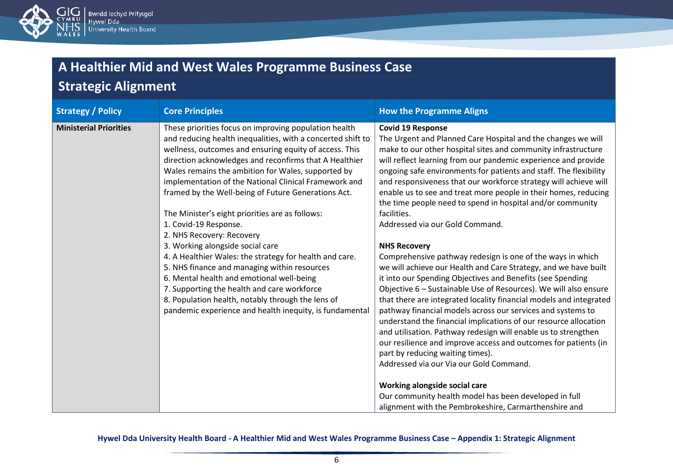

# **Strategic Alignment**

| <b>Strategy / Policy</b>      | <b>Core Principles</b>                                                                                                                                                                                                                                                                                                                                                                                                                                                                                                                                                                                                                                                                                                                                                                                                                                                             | <b>How the Programme Aligns</b>                                                                                                                                                                                                                                                                                                                                                                                                                                                                                                                                                                                                                                                                                                                                                                                                                                                                                                                                                                                                                                                                                                                                                                                                                                                                                                                                          |
|-------------------------------|------------------------------------------------------------------------------------------------------------------------------------------------------------------------------------------------------------------------------------------------------------------------------------------------------------------------------------------------------------------------------------------------------------------------------------------------------------------------------------------------------------------------------------------------------------------------------------------------------------------------------------------------------------------------------------------------------------------------------------------------------------------------------------------------------------------------------------------------------------------------------------|--------------------------------------------------------------------------------------------------------------------------------------------------------------------------------------------------------------------------------------------------------------------------------------------------------------------------------------------------------------------------------------------------------------------------------------------------------------------------------------------------------------------------------------------------------------------------------------------------------------------------------------------------------------------------------------------------------------------------------------------------------------------------------------------------------------------------------------------------------------------------------------------------------------------------------------------------------------------------------------------------------------------------------------------------------------------------------------------------------------------------------------------------------------------------------------------------------------------------------------------------------------------------------------------------------------------------------------------------------------------------|
| <b>Ministerial Priorities</b> | These priorities focus on improving population health<br>and reducing health inequalities, with a concerted shift to<br>wellness, outcomes and ensuring equity of access. This<br>direction acknowledges and reconfirms that A Healthier<br>Wales remains the ambition for Wales, supported by<br>implementation of the National Clinical Framework and<br>framed by the Well-being of Future Generations Act.<br>The Minister's eight priorities are as follows:<br>1. Covid-19 Response.<br>2. NHS Recovery: Recovery<br>3. Working alongside social care<br>4. A Healthier Wales: the strategy for health and care.<br>5. NHS finance and managing within resources<br>6. Mental health and emotional well-being<br>7. Supporting the health and care workforce<br>8. Population health, notably through the lens of<br>pandemic experience and health inequity, is fundamental | <b>Covid 19 Response</b><br>The Urgent and Planned Care Hospital and the changes we will<br>make to our other hospital sites and community infrastructure<br>will reflect learning from our pandemic experience and provide<br>ongoing safe environments for patients and staff. The flexibility<br>and responsiveness that our workforce strategy will achieve will<br>enable us to see and treat more people in their homes, reducing<br>the time people need to spend in hospital and/or community<br>facilities.<br>Addressed via our Gold Command.<br><b>NHS Recovery</b><br>Comprehensive pathway redesign is one of the ways in which<br>we will achieve our Health and Care Strategy, and we have built<br>it into our Spending Objectives and Benefits (see Spending<br>Objective 6 - Sustainable Use of Resources). We will also ensure<br>that there are integrated locality financial models and integrated<br>pathway financial models across our services and systems to<br>understand the financial implications of our resource allocation<br>and utilisation. Pathway redesign will enable us to strengthen<br>our resilience and improve access and outcomes for patients (in<br>part by reducing waiting times).<br>Addressed via our Via our Gold Command.<br>Working alongside social care<br>Our community health model has been developed in full |
|                               |                                                                                                                                                                                                                                                                                                                                                                                                                                                                                                                                                                                                                                                                                                                                                                                                                                                                                    | alignment with the Pembrokeshire, Carmarthenshire and                                                                                                                                                                                                                                                                                                                                                                                                                                                                                                                                                                                                                                                                                                                                                                                                                                                                                                                                                                                                                                                                                                                                                                                                                                                                                                                    |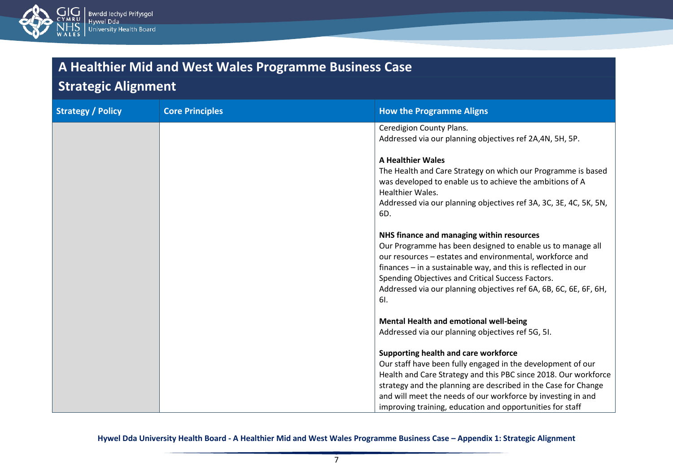

### **Strategic Alignment**

| <b>Strategy / Policy</b> | <b>Core Principles</b> | <b>How the Programme Aligns</b>                                                                                                                                                                                                                                                                                                                                       |
|--------------------------|------------------------|-----------------------------------------------------------------------------------------------------------------------------------------------------------------------------------------------------------------------------------------------------------------------------------------------------------------------------------------------------------------------|
|                          |                        | Ceredigion County Plans.<br>Addressed via our planning objectives ref 2A,4N, 5H, 5P.                                                                                                                                                                                                                                                                                  |
|                          |                        | <b>A Healthier Wales</b><br>The Health and Care Strategy on which our Programme is based<br>was developed to enable us to achieve the ambitions of A<br><b>Healthier Wales.</b><br>Addressed via our planning objectives ref 3A, 3C, 3E, 4C, 5K, 5N,<br>6D.                                                                                                           |
|                          |                        | NHS finance and managing within resources<br>Our Programme has been designed to enable us to manage all<br>our resources - estates and environmental, workforce and<br>finances - in a sustainable way, and this is reflected in our<br>Spending Objectives and Critical Success Factors.<br>Addressed via our planning objectives ref 6A, 6B, 6C, 6E, 6F, 6H,<br>6I. |
|                          |                        | Mental Health and emotional well-being                                                                                                                                                                                                                                                                                                                                |
|                          |                        | Addressed via our planning objectives ref 5G, 5I.                                                                                                                                                                                                                                                                                                                     |
|                          |                        | Supporting health and care workforce<br>Our staff have been fully engaged in the development of our<br>Health and Care Strategy and this PBC since 2018. Our workforce<br>strategy and the planning are described in the Case for Change<br>and will meet the needs of our workforce by investing in and<br>improving training, education and opportunities for staff |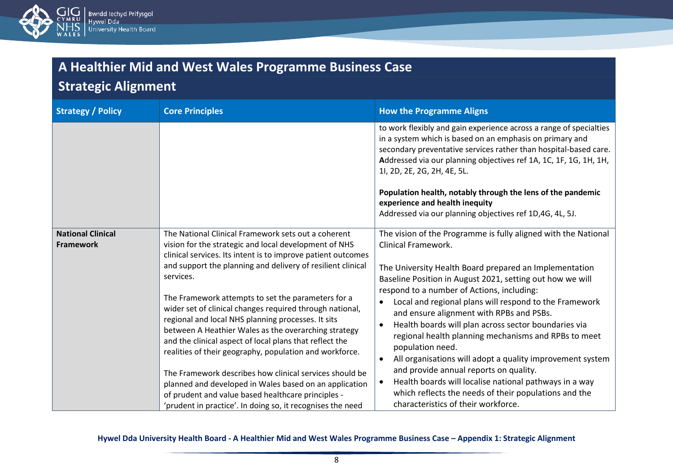

### **Strategic Alignment**

| <b>Strategy / Policy</b>                     | <b>Core Principles</b>                                                                                                                                                                                                                                                                                                                                                                                                                                                                                                                                                                                         | <b>How the Programme Aligns</b>                                                                                                                                                                                                                                                                                                                                                                                                                                                                                                                                          |
|----------------------------------------------|----------------------------------------------------------------------------------------------------------------------------------------------------------------------------------------------------------------------------------------------------------------------------------------------------------------------------------------------------------------------------------------------------------------------------------------------------------------------------------------------------------------------------------------------------------------------------------------------------------------|--------------------------------------------------------------------------------------------------------------------------------------------------------------------------------------------------------------------------------------------------------------------------------------------------------------------------------------------------------------------------------------------------------------------------------------------------------------------------------------------------------------------------------------------------------------------------|
|                                              |                                                                                                                                                                                                                                                                                                                                                                                                                                                                                                                                                                                                                | to work flexibly and gain experience across a range of specialties<br>in a system which is based on an emphasis on primary and<br>secondary preventative services rather than hospital-based care.<br>Addressed via our planning objectives ref 1A, 1C, 1F, 1G, 1H, 1H,<br>11, 2D, 2E, 2G, 2H, 4E, 5L.                                                                                                                                                                                                                                                                   |
|                                              |                                                                                                                                                                                                                                                                                                                                                                                                                                                                                                                                                                                                                | Population health, notably through the lens of the pandemic<br>experience and health inequity                                                                                                                                                                                                                                                                                                                                                                                                                                                                            |
|                                              |                                                                                                                                                                                                                                                                                                                                                                                                                                                                                                                                                                                                                | Addressed via our planning objectives ref 1D,4G, 4L, 5J.                                                                                                                                                                                                                                                                                                                                                                                                                                                                                                                 |
| <b>National Clinical</b><br><b>Framework</b> | The National Clinical Framework sets out a coherent<br>vision for the strategic and local development of NHS<br>clinical services. Its intent is to improve patient outcomes<br>and support the planning and delivery of resilient clinical<br>services.<br>The Framework attempts to set the parameters for a<br>wider set of clinical changes required through national,<br>regional and local NHS planning processes. It sits<br>between A Heathier Wales as the overarching strategy<br>and the clinical aspect of local plans that reflect the<br>realities of their geography, population and workforce. | The vision of the Programme is fully aligned with the National<br><b>Clinical Framework.</b><br>The University Health Board prepared an Implementation<br>Baseline Position in August 2021, setting out how we will<br>respond to a number of Actions, including:<br>Local and regional plans will respond to the Framework<br>and ensure alignment with RPBs and PSBs.<br>Health boards will plan across sector boundaries via<br>regional health planning mechanisms and RPBs to meet<br>population need.<br>All organisations will adopt a quality improvement system |
|                                              | The Framework describes how clinical services should be<br>planned and developed in Wales based on an application                                                                                                                                                                                                                                                                                                                                                                                                                                                                                              | and provide annual reports on quality.<br>Health boards will localise national pathways in a way                                                                                                                                                                                                                                                                                                                                                                                                                                                                         |
|                                              | of prudent and value based healthcare principles -                                                                                                                                                                                                                                                                                                                                                                                                                                                                                                                                                             | which reflects the needs of their populations and the                                                                                                                                                                                                                                                                                                                                                                                                                                                                                                                    |
|                                              | 'prudent in practice'. In doing so, it recognises the need                                                                                                                                                                                                                                                                                                                                                                                                                                                                                                                                                     | characteristics of their workforce.                                                                                                                                                                                                                                                                                                                                                                                                                                                                                                                                      |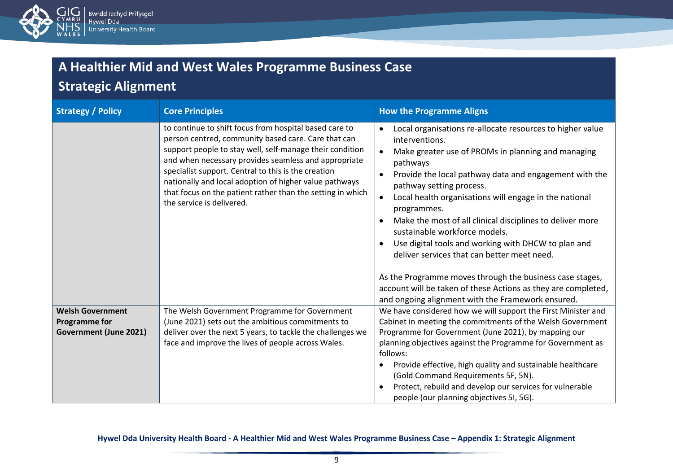

# **Strategic Alignment**

| <b>Strategy / Policy</b>                                                  | <b>Core Principles</b>                                                                                                                                                                                                                                                                                                                                                                                                                        | <b>How the Programme Aligns</b>                                                                                                                                                                                                                                                                                                                                                                                                                                                                                                                                                                                                                                                                                              |
|---------------------------------------------------------------------------|-----------------------------------------------------------------------------------------------------------------------------------------------------------------------------------------------------------------------------------------------------------------------------------------------------------------------------------------------------------------------------------------------------------------------------------------------|------------------------------------------------------------------------------------------------------------------------------------------------------------------------------------------------------------------------------------------------------------------------------------------------------------------------------------------------------------------------------------------------------------------------------------------------------------------------------------------------------------------------------------------------------------------------------------------------------------------------------------------------------------------------------------------------------------------------------|
|                                                                           | to continue to shift focus from hospital based care to<br>person centred, community based care. Care that can<br>support people to stay well, self-manage their condition<br>and when necessary provides seamless and appropriate<br>specialist support. Central to this is the creation<br>nationally and local adoption of higher value pathways<br>that focus on the patient rather than the setting in which<br>the service is delivered. | Local organisations re-allocate resources to higher value<br>interventions.<br>Make greater use of PROMs in planning and managing<br>pathways<br>Provide the local pathway data and engagement with the<br>$\bullet$<br>pathway setting process.<br>Local health organisations will engage in the national<br>programmes.<br>Make the most of all clinical disciplines to deliver more<br>$\bullet$<br>sustainable workforce models.<br>Use digital tools and working with DHCW to plan and<br>deliver services that can better meet need.<br>As the Programme moves through the business case stages,<br>account will be taken of these Actions as they are completed,<br>and ongoing alignment with the Framework ensured. |
| <b>Welsh Government</b><br><b>Programme for</b><br>Government (June 2021) | The Welsh Government Programme for Government<br>(June 2021) sets out the ambitious commitments to<br>deliver over the next 5 years, to tackle the challenges we<br>face and improve the lives of people across Wales.                                                                                                                                                                                                                        | We have considered how we will support the First Minister and<br>Cabinet in meeting the commitments of the Welsh Government<br>Programme for Government (June 2021), by mapping our<br>planning objectives against the Programme for Government as<br>follows:<br>Provide effective, high quality and sustainable healthcare<br>(Gold Command Requirements 5F, 5N).<br>Protect, rebuild and develop our services for vulnerable<br>$\bullet$<br>people (our planning objectives 5I, 5G).                                                                                                                                                                                                                                     |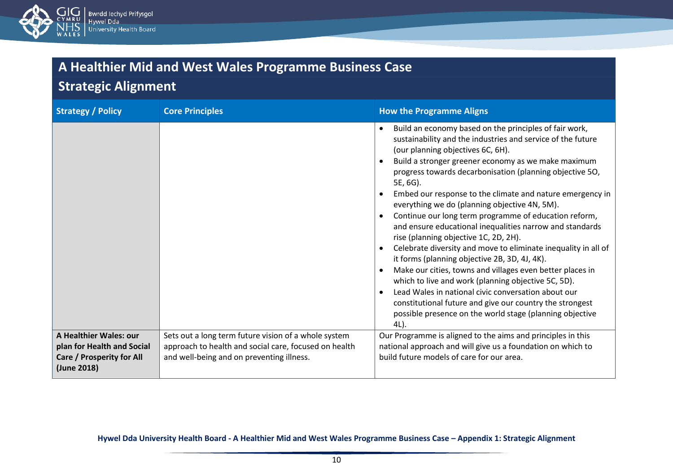

### **Strategic Alignment**

| <b>Strategy / Policy</b>                                                                         | <b>Core Principles</b>                                                                                                                                     | <b>How the Programme Aligns</b>                                                                                                                                                                                                                                                                                                                                                                                                                                                                                                                                                                                                                                                                                                                                                                                                                                                                                                                                                                                                  |
|--------------------------------------------------------------------------------------------------|------------------------------------------------------------------------------------------------------------------------------------------------------------|----------------------------------------------------------------------------------------------------------------------------------------------------------------------------------------------------------------------------------------------------------------------------------------------------------------------------------------------------------------------------------------------------------------------------------------------------------------------------------------------------------------------------------------------------------------------------------------------------------------------------------------------------------------------------------------------------------------------------------------------------------------------------------------------------------------------------------------------------------------------------------------------------------------------------------------------------------------------------------------------------------------------------------|
|                                                                                                  |                                                                                                                                                            | Build an economy based on the principles of fair work,<br>$\bullet$<br>sustainability and the industries and service of the future<br>(our planning objectives 6C, 6H).<br>Build a stronger greener economy as we make maximum<br>progress towards decarbonisation (planning objective 50,<br>5E, 6G).<br>Embed our response to the climate and nature emergency in<br>everything we do (planning objective 4N, 5M).<br>Continue our long term programme of education reform,<br>and ensure educational inequalities narrow and standards<br>rise (planning objective 1C, 2D, 2H).<br>Celebrate diversity and move to eliminate inequality in all of<br>it forms (planning objective 2B, 3D, 4J, 4K).<br>Make our cities, towns and villages even better places in<br>which to live and work (planning objective 5C, 5D).<br>Lead Wales in national civic conversation about our<br>$\bullet$<br>constitutional future and give our country the strongest<br>possible presence on the world stage (planning objective<br>$4L$ ). |
| A Healthier Wales: our<br>plan for Health and Social<br>Care / Prosperity for All<br>(June 2018) | Sets out a long term future vision of a whole system<br>approach to health and social care, focused on health<br>and well-being and on preventing illness. | Our Programme is aligned to the aims and principles in this<br>national approach and will give us a foundation on which to<br>build future models of care for our area.                                                                                                                                                                                                                                                                                                                                                                                                                                                                                                                                                                                                                                                                                                                                                                                                                                                          |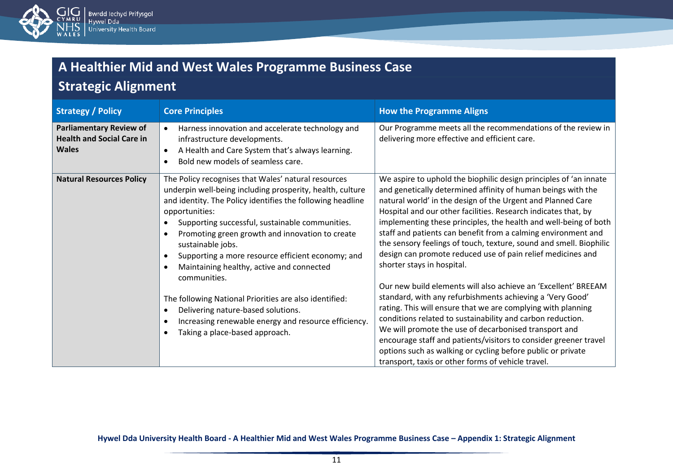

### **Strategic Alignment**

| <b>Strategy / Policy</b>                                                           | <b>Core Principles</b>                                                                                                                                                                                                                                                                                                                                                                                                                                                                                                                                                                                                                               | <b>How the Programme Aligns</b>                                                                                                                                                                                                                                                                                                                                                                                                                                                                                                                                                                                                                                                                                                                                                                                                                                                                                                                                                                                                                                                           |
|------------------------------------------------------------------------------------|------------------------------------------------------------------------------------------------------------------------------------------------------------------------------------------------------------------------------------------------------------------------------------------------------------------------------------------------------------------------------------------------------------------------------------------------------------------------------------------------------------------------------------------------------------------------------------------------------------------------------------------------------|-------------------------------------------------------------------------------------------------------------------------------------------------------------------------------------------------------------------------------------------------------------------------------------------------------------------------------------------------------------------------------------------------------------------------------------------------------------------------------------------------------------------------------------------------------------------------------------------------------------------------------------------------------------------------------------------------------------------------------------------------------------------------------------------------------------------------------------------------------------------------------------------------------------------------------------------------------------------------------------------------------------------------------------------------------------------------------------------|
| <b>Parliamentary Review of</b><br><b>Health and Social Care in</b><br><b>Wales</b> | Harness innovation and accelerate technology and<br>$\bullet$<br>infrastructure developments.<br>A Health and Care System that's always learning.<br>$\bullet$<br>Bold new models of seamless care.                                                                                                                                                                                                                                                                                                                                                                                                                                                  | Our Programme meets all the recommendations of the review in<br>delivering more effective and efficient care.                                                                                                                                                                                                                                                                                                                                                                                                                                                                                                                                                                                                                                                                                                                                                                                                                                                                                                                                                                             |
| <b>Natural Resources Policy</b>                                                    | The Policy recognises that Wales' natural resources<br>underpin well-being including prosperity, health, culture<br>and identity. The Policy identifies the following headline<br>opportunities:<br>Supporting successful, sustainable communities.<br>$\bullet$<br>Promoting green growth and innovation to create<br>sustainable jobs.<br>Supporting a more resource efficient economy; and<br>Maintaining healthy, active and connected<br>communities.<br>The following National Priorities are also identified:<br>Delivering nature-based solutions.<br>Increasing renewable energy and resource efficiency.<br>Taking a place-based approach. | We aspire to uphold the biophilic design principles of 'an innate<br>and genetically determined affinity of human beings with the<br>natural world' in the design of the Urgent and Planned Care<br>Hospital and our other facilities. Research indicates that, by<br>implementing these principles, the health and well-being of both<br>staff and patients can benefit from a calming environment and<br>the sensory feelings of touch, texture, sound and smell. Biophilic<br>design can promote reduced use of pain relief medicines and<br>shorter stays in hospital.<br>Our new build elements will also achieve an 'Excellent' BREEAM<br>standard, with any refurbishments achieving a 'Very Good'<br>rating. This will ensure that we are complying with planning<br>conditions related to sustainability and carbon reduction.<br>We will promote the use of decarbonised transport and<br>encourage staff and patients/visitors to consider greener travel<br>options such as walking or cycling before public or private<br>transport, taxis or other forms of vehicle travel. |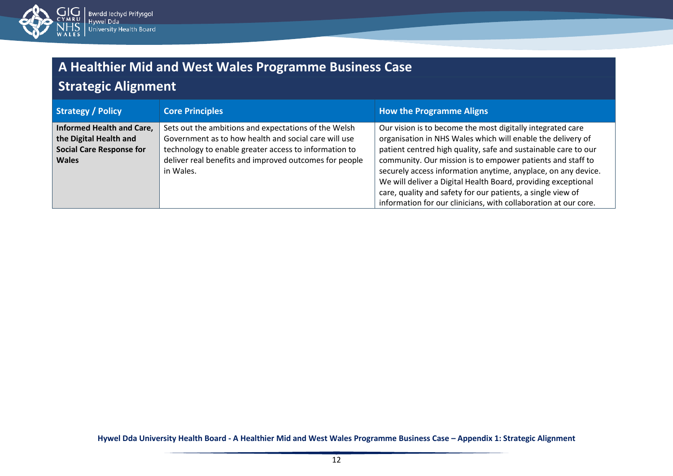

# **Strategic Alignment**

| <b>Strategy / Policy</b>        | <b>Core Principles</b>                                 | <b>How the Programme Aligns</b>                                 |
|---------------------------------|--------------------------------------------------------|-----------------------------------------------------------------|
| Informed Health and Care,       | Sets out the ambitions and expectations of the Welsh   | Our vision is to become the most digitally integrated care      |
| the Digital Health and          | Government as to how health and social care will use   | organisation in NHS Wales which will enable the delivery of     |
| <b>Social Care Response for</b> | technology to enable greater access to information to  | patient centred high quality, safe and sustainable care to our  |
| <b>Wales</b>                    | deliver real benefits and improved outcomes for people | community. Our mission is to empower patients and staff to      |
|                                 | in Wales.                                              | securely access information anytime, anyplace, on any device.   |
|                                 |                                                        | We will deliver a Digital Health Board, providing exceptional   |
|                                 |                                                        | care, quality and safety for our patients, a single view of     |
|                                 |                                                        | information for our clinicians, with collaboration at our core. |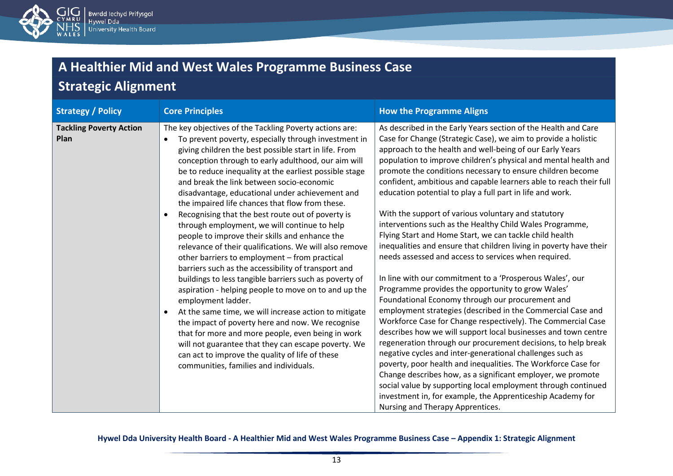

# **Strategic Alignment**

| <b>Strategy / Policy</b>               | <b>Core Principles</b>                                                                                                                                                                                                                                                                                                                                                                                                                                                                                                                                                                                                                                                                                                                                                                                                                                                                                                                                                                                                                                                                                                                                                                                                              | <b>How the Programme Aligns</b>                                                                                                                                                                                                                                                                                                                                                                                                                                                                                                                                                                                                                                                                                                                                                                                                                                                                                                                                                                                                                                                                                                                                                                                                                                                                                                                                                                                                                                                                                                                                                     |
|----------------------------------------|-------------------------------------------------------------------------------------------------------------------------------------------------------------------------------------------------------------------------------------------------------------------------------------------------------------------------------------------------------------------------------------------------------------------------------------------------------------------------------------------------------------------------------------------------------------------------------------------------------------------------------------------------------------------------------------------------------------------------------------------------------------------------------------------------------------------------------------------------------------------------------------------------------------------------------------------------------------------------------------------------------------------------------------------------------------------------------------------------------------------------------------------------------------------------------------------------------------------------------------|-------------------------------------------------------------------------------------------------------------------------------------------------------------------------------------------------------------------------------------------------------------------------------------------------------------------------------------------------------------------------------------------------------------------------------------------------------------------------------------------------------------------------------------------------------------------------------------------------------------------------------------------------------------------------------------------------------------------------------------------------------------------------------------------------------------------------------------------------------------------------------------------------------------------------------------------------------------------------------------------------------------------------------------------------------------------------------------------------------------------------------------------------------------------------------------------------------------------------------------------------------------------------------------------------------------------------------------------------------------------------------------------------------------------------------------------------------------------------------------------------------------------------------------------------------------------------------------|
| <b>Tackling Poverty Action</b><br>Plan | The key objectives of the Tackling Poverty actions are:<br>To prevent poverty, especially through investment in<br>giving children the best possible start in life. From<br>conception through to early adulthood, our aim will<br>be to reduce inequality at the earliest possible stage<br>and break the link between socio-economic<br>disadvantage, educational under achievement and<br>the impaired life chances that flow from these.<br>Recognising that the best route out of poverty is<br>through employment, we will continue to help<br>people to improve their skills and enhance the<br>relevance of their qualifications. We will also remove<br>other barriers to employment - from practical<br>barriers such as the accessibility of transport and<br>buildings to less tangible barriers such as poverty of<br>aspiration - helping people to move on to and up the<br>employment ladder.<br>At the same time, we will increase action to mitigate<br>the impact of poverty here and now. We recognise<br>that for more and more people, even being in work<br>will not guarantee that they can escape poverty. We<br>can act to improve the quality of life of these<br>communities, families and individuals. | As described in the Early Years section of the Health and Care<br>Case for Change (Strategic Case), we aim to provide a holistic<br>approach to the health and well-being of our Early Years<br>population to improve children's physical and mental health and<br>promote the conditions necessary to ensure children become<br>confident, ambitious and capable learners able to reach their full<br>education potential to play a full part in life and work.<br>With the support of various voluntary and statutory<br>interventions such as the Healthy Child Wales Programme,<br>Flying Start and Home Start, we can tackle child health<br>inequalities and ensure that children living in poverty have their<br>needs assessed and access to services when required.<br>In line with our commitment to a 'Prosperous Wales', our<br>Programme provides the opportunity to grow Wales'<br>Foundational Economy through our procurement and<br>employment strategies (described in the Commercial Case and<br>Workforce Case for Change respectively). The Commercial Case<br>describes how we will support local businesses and town centre<br>regeneration through our procurement decisions, to help break<br>negative cycles and inter-generational challenges such as<br>poverty, poor health and inequalities. The Workforce Case for<br>Change describes how, as a significant employer, we promote<br>social value by supporting local employment through continued<br>investment in, for example, the Apprenticeship Academy for<br>Nursing and Therapy Apprentices. |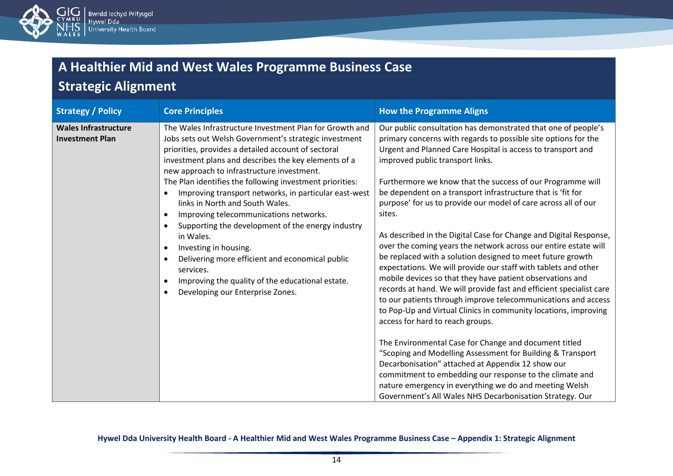

# **Strategic Alignment**

| <b>Strategy / Policy</b>                              | <b>Core Principles</b>                                                                                                                                                                                                                                                                                                                                                                                                                                                                                                                                                                                                                                                                                                                          | <b>How the Programme Aligns</b>                                                                                                                                                                                                                                                                                                                                                                                                                                                                                                                                                                                                                                                                                                                                                                                                                                                                                                                                                                                                                                                                                                                                                                                                                                                                                                                                                              |
|-------------------------------------------------------|-------------------------------------------------------------------------------------------------------------------------------------------------------------------------------------------------------------------------------------------------------------------------------------------------------------------------------------------------------------------------------------------------------------------------------------------------------------------------------------------------------------------------------------------------------------------------------------------------------------------------------------------------------------------------------------------------------------------------------------------------|----------------------------------------------------------------------------------------------------------------------------------------------------------------------------------------------------------------------------------------------------------------------------------------------------------------------------------------------------------------------------------------------------------------------------------------------------------------------------------------------------------------------------------------------------------------------------------------------------------------------------------------------------------------------------------------------------------------------------------------------------------------------------------------------------------------------------------------------------------------------------------------------------------------------------------------------------------------------------------------------------------------------------------------------------------------------------------------------------------------------------------------------------------------------------------------------------------------------------------------------------------------------------------------------------------------------------------------------------------------------------------------------|
| <b>Wales Infrastructure</b><br><b>Investment Plan</b> | The Wales Infrastructure Investment Plan for Growth and<br>Jobs sets out Welsh Government's strategic investment<br>priorities, provides a detailed account of sectoral<br>investment plans and describes the key elements of a<br>new approach to infrastructure investment.<br>The Plan identifies the following investment priorities:<br>Improving transport networks, in particular east-west<br>links in North and South Wales.<br>Improving telecommunications networks.<br>Supporting the development of the energy industry<br>in Wales.<br>Investing in housing.<br>$\bullet$<br>Delivering more efficient and economical public<br>services.<br>Improving the quality of the educational estate.<br>Developing our Enterprise Zones. | Our public consultation has demonstrated that one of people's<br>primary concerns with regards to possible site options for the<br>Urgent and Planned Care Hospital is access to transport and<br>improved public transport links.<br>Furthermore we know that the success of our Programme will<br>be dependent on a transport infrastructure that is 'fit for<br>purpose' for us to provide our model of care across all of our<br>sites.<br>As described in the Digital Case for Change and Digital Response,<br>over the coming years the network across our entire estate will<br>be replaced with a solution designed to meet future growth<br>expectations. We will provide our staff with tablets and other<br>mobile devices so that they have patient observations and<br>records at hand. We will provide fast and efficient specialist care<br>to our patients through improve telecommunications and access<br>to Pop-Up and Virtual Clinics in community locations, improving<br>access for hard to reach groups.<br>The Environmental Case for Change and document titled<br>"Scoping and Modelling Assessment for Building & Transport<br>Decarbonisation" attached at Appendix 12 show our<br>commitment to embedding our response to the climate and<br>nature emergency in everything we do and meeting Welsh<br>Government's All Wales NHS Decarbonisation Strategy. Our |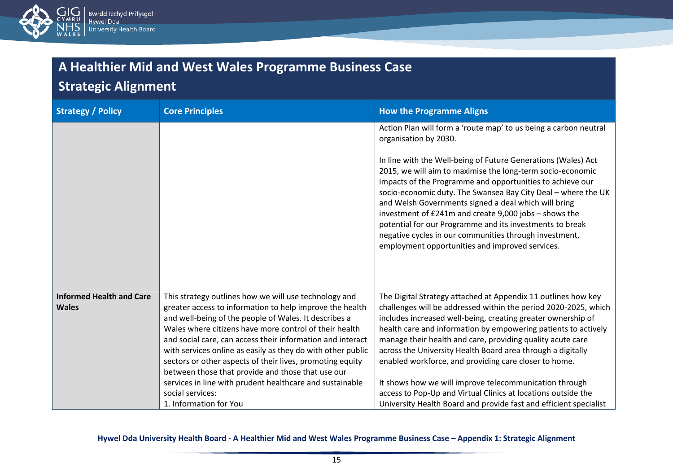

### **Strategic Alignment**

| <b>Strategy / Policy</b>        | <b>Core Principles</b>                                                                                                   | <b>How the Programme Aligns</b>                                                                                                                                                                                                                                                                                                                                                                                                                                                                                                                     |
|---------------------------------|--------------------------------------------------------------------------------------------------------------------------|-----------------------------------------------------------------------------------------------------------------------------------------------------------------------------------------------------------------------------------------------------------------------------------------------------------------------------------------------------------------------------------------------------------------------------------------------------------------------------------------------------------------------------------------------------|
|                                 |                                                                                                                          | Action Plan will form a 'route map' to us being a carbon neutral<br>organisation by 2030.                                                                                                                                                                                                                                                                                                                                                                                                                                                           |
|                                 |                                                                                                                          | In line with the Well-being of Future Generations (Wales) Act<br>2015, we will aim to maximise the long-term socio-economic<br>impacts of the Programme and opportunities to achieve our<br>socio-economic duty. The Swansea Bay City Deal - where the UK<br>and Welsh Governments signed a deal which will bring<br>investment of £241m and create 9,000 jobs - shows the<br>potential for our Programme and its investments to break<br>negative cycles in our communities through investment,<br>employment opportunities and improved services. |
| <b>Informed Health and Care</b> | This strategy outlines how we will use technology and                                                                    | The Digital Strategy attached at Appendix 11 outlines how key                                                                                                                                                                                                                                                                                                                                                                                                                                                                                       |
| <b>Wales</b>                    | greater access to information to help improve the health<br>and well-being of the people of Wales. It describes a        | challenges will be addressed within the period 2020-2025, which<br>includes increased well-being, creating greater ownership of                                                                                                                                                                                                                                                                                                                                                                                                                     |
|                                 | Wales where citizens have more control of their health                                                                   | health care and information by empowering patients to actively                                                                                                                                                                                                                                                                                                                                                                                                                                                                                      |
|                                 | and social care, can access their information and interact                                                               | manage their health and care, providing quality acute care                                                                                                                                                                                                                                                                                                                                                                                                                                                                                          |
|                                 | with services online as easily as they do with other public<br>sectors or other aspects of their lives, promoting equity | across the University Health Board area through a digitally<br>enabled workforce, and providing care closer to home.                                                                                                                                                                                                                                                                                                                                                                                                                                |
|                                 | between those that provide and those that use our                                                                        |                                                                                                                                                                                                                                                                                                                                                                                                                                                                                                                                                     |
|                                 | services in line with prudent healthcare and sustainable                                                                 | It shows how we will improve telecommunication through                                                                                                                                                                                                                                                                                                                                                                                                                                                                                              |
|                                 | social services:                                                                                                         | access to Pop-Up and Virtual Clinics at locations outside the                                                                                                                                                                                                                                                                                                                                                                                                                                                                                       |
|                                 | 1. Information for You                                                                                                   | University Health Board and provide fast and efficient specialist                                                                                                                                                                                                                                                                                                                                                                                                                                                                                   |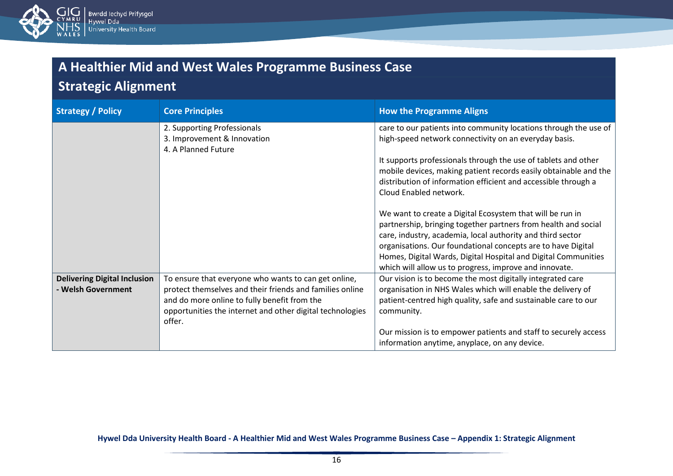

### **Strategic Alignment**

| <b>Strategy / Policy</b>            | <b>Core Principles</b>                                                                                                                                                          | <b>How the Programme Aligns</b>                                                                                                                                                                                                                                                                                                                                                       |
|-------------------------------------|---------------------------------------------------------------------------------------------------------------------------------------------------------------------------------|---------------------------------------------------------------------------------------------------------------------------------------------------------------------------------------------------------------------------------------------------------------------------------------------------------------------------------------------------------------------------------------|
|                                     | 2. Supporting Professionals<br>3. Improvement & Innovation<br>4. A Planned Future                                                                                               | care to our patients into community locations through the use of<br>high-speed network connectivity on an everyday basis.                                                                                                                                                                                                                                                             |
|                                     |                                                                                                                                                                                 | It supports professionals through the use of tablets and other<br>mobile devices, making patient records easily obtainable and the<br>distribution of information efficient and accessible through a<br>Cloud Enabled network.                                                                                                                                                        |
|                                     |                                                                                                                                                                                 | We want to create a Digital Ecosystem that will be run in<br>partnership, bringing together partners from health and social<br>care, industry, academia, local authority and third sector<br>organisations. Our foundational concepts are to have Digital<br>Homes, Digital Wards, Digital Hospital and Digital Communities<br>which will allow us to progress, improve and innovate. |
| <b>Delivering Digital Inclusion</b> | To ensure that everyone who wants to can get online,                                                                                                                            | Our vision is to become the most digitally integrated care                                                                                                                                                                                                                                                                                                                            |
| - Welsh Government                  | protect themselves and their friends and families online<br>and do more online to fully benefit from the<br>opportunities the internet and other digital technologies<br>offer. | organisation in NHS Wales which will enable the delivery of<br>patient-centred high quality, safe and sustainable care to our<br>community.                                                                                                                                                                                                                                           |
|                                     |                                                                                                                                                                                 | Our mission is to empower patients and staff to securely access<br>information anytime, anyplace, on any device.                                                                                                                                                                                                                                                                      |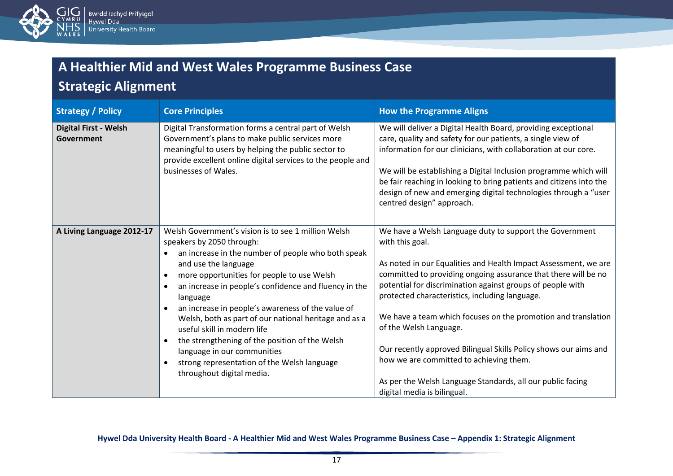

### **Strategic Alignment**

| <b>Strategy / Policy</b>                   | <b>Core Principles</b>                                                                                                                                                                                                                                                                                                                                                                                                                                                                                                                                                                      | <b>How the Programme Aligns</b>                                                                                                                                                                                                                                                                                                                                                                                                                                                                                                                                                                                                        |
|--------------------------------------------|---------------------------------------------------------------------------------------------------------------------------------------------------------------------------------------------------------------------------------------------------------------------------------------------------------------------------------------------------------------------------------------------------------------------------------------------------------------------------------------------------------------------------------------------------------------------------------------------|----------------------------------------------------------------------------------------------------------------------------------------------------------------------------------------------------------------------------------------------------------------------------------------------------------------------------------------------------------------------------------------------------------------------------------------------------------------------------------------------------------------------------------------------------------------------------------------------------------------------------------------|
| <b>Digital First - Welsh</b><br>Government | Digital Transformation forms a central part of Welsh<br>Government's plans to make public services more<br>meaningful to users by helping the public sector to<br>provide excellent online digital services to the people and<br>businesses of Wales.                                                                                                                                                                                                                                                                                                                                       | We will deliver a Digital Health Board, providing exceptional<br>care, quality and safety for our patients, a single view of<br>information for our clinicians, with collaboration at our core.<br>We will be establishing a Digital Inclusion programme which will<br>be fair reaching in looking to bring patients and citizens into the<br>design of new and emerging digital technologies through a "user<br>centred design" approach.                                                                                                                                                                                             |
| A Living Language 2012-17                  | Welsh Government's vision is to see 1 million Welsh<br>speakers by 2050 through:<br>an increase in the number of people who both speak<br>and use the language<br>more opportunities for people to use Welsh<br>an increase in people's confidence and fluency in the<br>language<br>an increase in people's awareness of the value of<br>Welsh, both as part of our national heritage and as a<br>useful skill in modern life<br>the strengthening of the position of the Welsh<br>language in our communities<br>strong representation of the Welsh language<br>throughout digital media. | We have a Welsh Language duty to support the Government<br>with this goal.<br>As noted in our Equalities and Health Impact Assessment, we are<br>committed to providing ongoing assurance that there will be no<br>potential for discrimination against groups of people with<br>protected characteristics, including language.<br>We have a team which focuses on the promotion and translation<br>of the Welsh Language.<br>Our recently approved Bilingual Skills Policy shows our aims and<br>how we are committed to achieving them.<br>As per the Welsh Language Standards, all our public facing<br>digital media is bilingual. |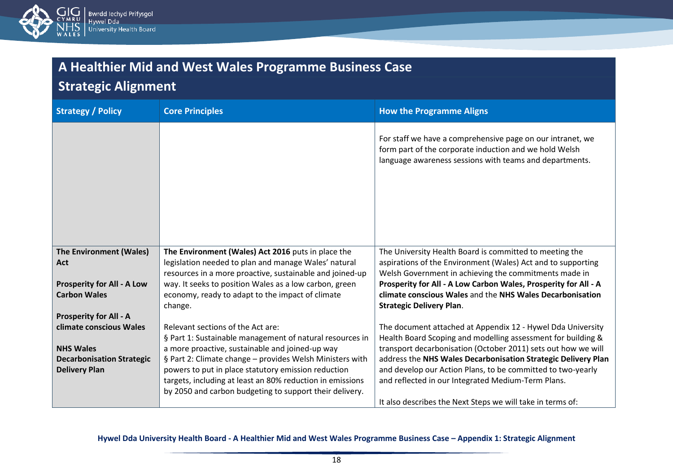

### **Strategic Alignment**

| <b>Strategy / Policy</b>          | <b>Core Principles</b>                                                                                           | <b>How the Programme Aligns</b>                                                                                                                                                 |
|-----------------------------------|------------------------------------------------------------------------------------------------------------------|---------------------------------------------------------------------------------------------------------------------------------------------------------------------------------|
|                                   |                                                                                                                  | For staff we have a comprehensive page on our intranet, we<br>form part of the corporate induction and we hold Welsh<br>language awareness sessions with teams and departments. |
| The Environment (Wales)           | The Environment (Wales) Act 2016 puts in place the                                                               | The University Health Board is committed to meeting the                                                                                                                         |
| Act                               | legislation needed to plan and manage Wales' natural<br>resources in a more proactive, sustainable and joined-up | aspirations of the Environment (Wales) Act and to supporting<br>Welsh Government in achieving the commitments made in                                                           |
| <b>Prosperity for All - A Low</b> | way. It seeks to position Wales as a low carbon, green                                                           | Prosperity for All - A Low Carbon Wales, Prosperity for All - A                                                                                                                 |
| <b>Carbon Wales</b>               | economy, ready to adapt to the impact of climate                                                                 | climate conscious Wales and the NHS Wales Decarbonisation                                                                                                                       |
|                                   | change.                                                                                                          | <b>Strategic Delivery Plan.</b>                                                                                                                                                 |
| <b>Prosperity for All - A</b>     |                                                                                                                  |                                                                                                                                                                                 |
| climate conscious Wales           | Relevant sections of the Act are:                                                                                | The document attached at Appendix 12 - Hywel Dda University                                                                                                                     |
| <b>NHS Wales</b>                  | § Part 1: Sustainable management of natural resources in<br>a more proactive, sustainable and joined-up way      | Health Board Scoping and modelling assessment for building &<br>transport decarbonisation (October 2011) sets out how we will                                                   |
| <b>Decarbonisation Strategic</b>  | § Part 2: Climate change - provides Welsh Ministers with                                                         | address the NHS Wales Decarbonisation Strategic Delivery Plan                                                                                                                   |
| <b>Delivery Plan</b>              | powers to put in place statutory emission reduction                                                              | and develop our Action Plans, to be committed to two-yearly                                                                                                                     |
|                                   | targets, including at least an 80% reduction in emissions                                                        | and reflected in our Integrated Medium-Term Plans.                                                                                                                              |
|                                   | by 2050 and carbon budgeting to support their delivery.                                                          |                                                                                                                                                                                 |
|                                   |                                                                                                                  | It also describes the Next Steps we will take in terms of:                                                                                                                      |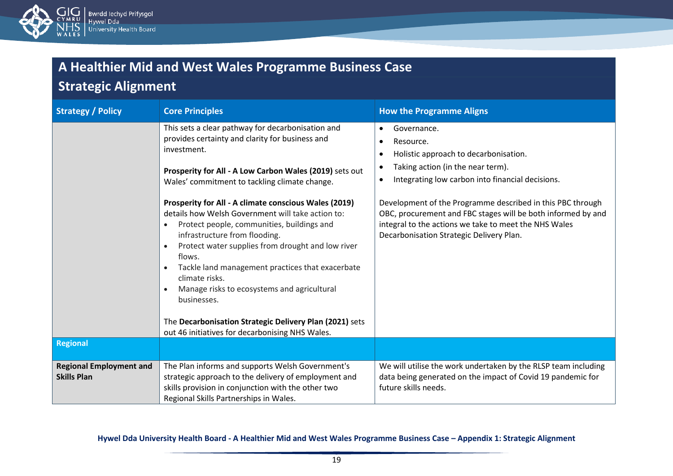

# **Strategic Alignment**

| <b>Strategy / Policy</b>                             | <b>Core Principles</b>                                                                                                                                                                                                                                                                                                                                                                                                                                                                                                                                                                                                                                                                                                                                                  | <b>How the Programme Aligns</b>                                                                                                                                                                                                                                                                                                                                                                                         |
|------------------------------------------------------|-------------------------------------------------------------------------------------------------------------------------------------------------------------------------------------------------------------------------------------------------------------------------------------------------------------------------------------------------------------------------------------------------------------------------------------------------------------------------------------------------------------------------------------------------------------------------------------------------------------------------------------------------------------------------------------------------------------------------------------------------------------------------|-------------------------------------------------------------------------------------------------------------------------------------------------------------------------------------------------------------------------------------------------------------------------------------------------------------------------------------------------------------------------------------------------------------------------|
|                                                      | This sets a clear pathway for decarbonisation and<br>provides certainty and clarity for business and<br>investment.<br>Prosperity for All - A Low Carbon Wales (2019) sets out<br>Wales' commitment to tackling climate change.<br>Prosperity for All - A climate conscious Wales (2019)<br>details how Welsh Government will take action to:<br>Protect people, communities, buildings and<br>$\bullet$<br>infrastructure from flooding.<br>Protect water supplies from drought and low river<br>flows.<br>Tackle land management practices that exacerbate<br>$\bullet$<br>climate risks.<br>Manage risks to ecosystems and agricultural<br>businesses.<br>The Decarbonisation Strategic Delivery Plan (2021) sets<br>out 46 initiatives for decarbonising NHS Wales. | Governance.<br>$\bullet$<br>Resource.<br>Holistic approach to decarbonisation.<br>Taking action (in the near term).<br>$\bullet$<br>Integrating low carbon into financial decisions.<br>Development of the Programme described in this PBC through<br>OBC, procurement and FBC stages will be both informed by and<br>integral to the actions we take to meet the NHS Wales<br>Decarbonisation Strategic Delivery Plan. |
| <b>Regional</b>                                      |                                                                                                                                                                                                                                                                                                                                                                                                                                                                                                                                                                                                                                                                                                                                                                         |                                                                                                                                                                                                                                                                                                                                                                                                                         |
| <b>Regional Employment and</b><br><b>Skills Plan</b> | The Plan informs and supports Welsh Government's<br>strategic approach to the delivery of employment and<br>skills provision in conjunction with the other two<br>Regional Skills Partnerships in Wales.                                                                                                                                                                                                                                                                                                                                                                                                                                                                                                                                                                | We will utilise the work undertaken by the RLSP team including<br>data being generated on the impact of Covid 19 pandemic for<br>future skills needs.                                                                                                                                                                                                                                                                   |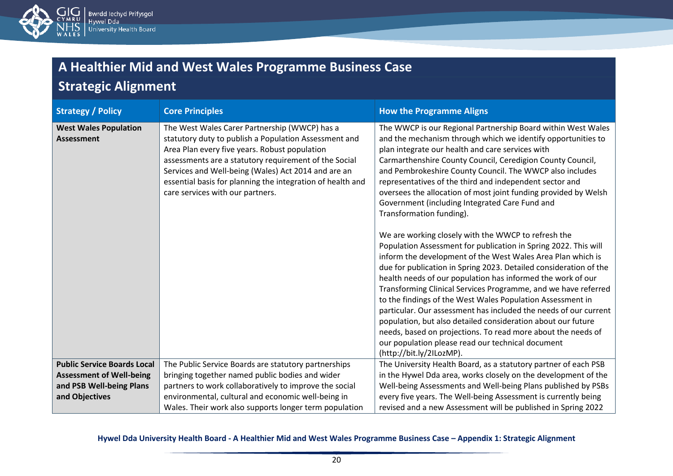

### **Strategic Alignment**

| <b>Strategy / Policy</b>                          | <b>Core Principles</b>                                                                                                                                                                                                                                                                                                                                                    | <b>How the Programme Aligns</b>                                                                                                                                                                                                                                                                                                                                                                                                                                                                                                                                                                                                                                                                                                                |
|---------------------------------------------------|---------------------------------------------------------------------------------------------------------------------------------------------------------------------------------------------------------------------------------------------------------------------------------------------------------------------------------------------------------------------------|------------------------------------------------------------------------------------------------------------------------------------------------------------------------------------------------------------------------------------------------------------------------------------------------------------------------------------------------------------------------------------------------------------------------------------------------------------------------------------------------------------------------------------------------------------------------------------------------------------------------------------------------------------------------------------------------------------------------------------------------|
| <b>West Wales Population</b><br><b>Assessment</b> | The West Wales Carer Partnership (WWCP) has a<br>statutory duty to publish a Population Assessment and<br>Area Plan every five years. Robust population<br>assessments are a statutory requirement of the Social<br>Services and Well-being (Wales) Act 2014 and are an<br>essential basis for planning the integration of health and<br>care services with our partners. | The WWCP is our Regional Partnership Board within West Wales<br>and the mechanism through which we identify opportunities to<br>plan integrate our health and care services with<br>Carmarthenshire County Council, Ceredigion County Council,<br>and Pembrokeshire County Council. The WWCP also includes<br>representatives of the third and independent sector and<br>oversees the allocation of most joint funding provided by Welsh<br>Government (including Integrated Care Fund and<br>Transformation funding).                                                                                                                                                                                                                         |
|                                                   |                                                                                                                                                                                                                                                                                                                                                                           | We are working closely with the WWCP to refresh the<br>Population Assessment for publication in Spring 2022. This will<br>inform the development of the West Wales Area Plan which is<br>due for publication in Spring 2023. Detailed consideration of the<br>health needs of our population has informed the work of our<br>Transforming Clinical Services Programme, and we have referred<br>to the findings of the West Wales Population Assessment in<br>particular. Our assessment has included the needs of our current<br>population, but also detailed consideration about our future<br>needs, based on projections. To read more about the needs of<br>our population please read our technical document<br>(http://bit.ly/2ILozMP). |
| <b>Public Service Boards Local</b>                | The Public Service Boards are statutory partnerships                                                                                                                                                                                                                                                                                                                      | The University Health Board, as a statutory partner of each PSB                                                                                                                                                                                                                                                                                                                                                                                                                                                                                                                                                                                                                                                                                |
| <b>Assessment of Well-being</b>                   | bringing together named public bodies and wider                                                                                                                                                                                                                                                                                                                           | in the Hywel Dda area, works closely on the development of the                                                                                                                                                                                                                                                                                                                                                                                                                                                                                                                                                                                                                                                                                 |
| and PSB Well-being Plans                          | partners to work collaboratively to improve the social                                                                                                                                                                                                                                                                                                                    | Well-being Assessments and Well-being Plans published by PSBs                                                                                                                                                                                                                                                                                                                                                                                                                                                                                                                                                                                                                                                                                  |
| and Objectives                                    | environmental, cultural and economic well-being in                                                                                                                                                                                                                                                                                                                        | every five years. The Well-being Assessment is currently being                                                                                                                                                                                                                                                                                                                                                                                                                                                                                                                                                                                                                                                                                 |
|                                                   | Wales. Their work also supports longer term population                                                                                                                                                                                                                                                                                                                    | revised and a new Assessment will be published in Spring 2022                                                                                                                                                                                                                                                                                                                                                                                                                                                                                                                                                                                                                                                                                  |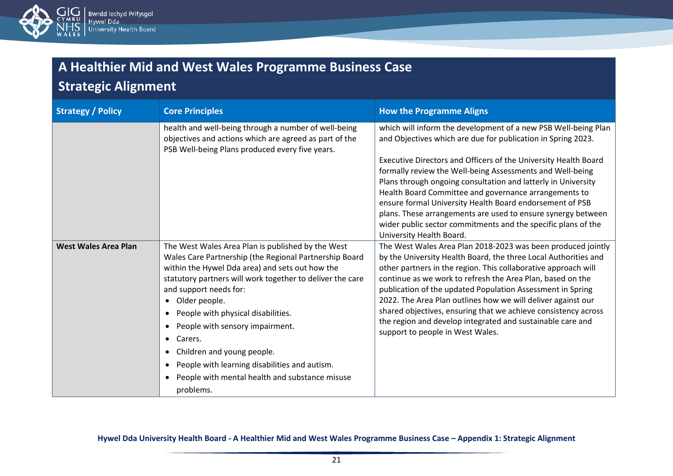

# **Strategic Alignment**

| <b>Strategy / Policy</b>    | <b>Core Principles</b>                                                                                                                                                                                                                                                                                                                                                                                                                                                                                                                                                                              | <b>How the Programme Aligns</b>                                                                                                                                                                                                                                                                                                                                                                                                                                                                                                                                                                                   |
|-----------------------------|-----------------------------------------------------------------------------------------------------------------------------------------------------------------------------------------------------------------------------------------------------------------------------------------------------------------------------------------------------------------------------------------------------------------------------------------------------------------------------------------------------------------------------------------------------------------------------------------------------|-------------------------------------------------------------------------------------------------------------------------------------------------------------------------------------------------------------------------------------------------------------------------------------------------------------------------------------------------------------------------------------------------------------------------------------------------------------------------------------------------------------------------------------------------------------------------------------------------------------------|
|                             | health and well-being through a number of well-being<br>objectives and actions which are agreed as part of the<br>PSB Well-being Plans produced every five years.                                                                                                                                                                                                                                                                                                                                                                                                                                   | which will inform the development of a new PSB Well-being Plan<br>and Objectives which are due for publication in Spring 2023.<br>Executive Directors and Officers of the University Health Board<br>formally review the Well-being Assessments and Well-being<br>Plans through ongoing consultation and latterly in University<br>Health Board Committee and governance arrangements to<br>ensure formal University Health Board endorsement of PSB<br>plans. These arrangements are used to ensure synergy between<br>wider public sector commitments and the specific plans of the<br>University Health Board. |
| <b>West Wales Area Plan</b> | The West Wales Area Plan is published by the West<br>Wales Care Partnership (the Regional Partnership Board<br>within the Hywel Dda area) and sets out how the<br>statutory partners will work together to deliver the care<br>and support needs for:<br>Older people.<br>$\bullet$<br>People with physical disabilities.<br>$\bullet$<br>People with sensory impairment.<br>$\bullet$<br>Carers.<br>$\bullet$<br>Children and young people.<br>$\bullet$<br>People with learning disabilities and autism.<br>$\bullet$<br>People with mental health and substance misuse<br>$\bullet$<br>problems. | The West Wales Area Plan 2018-2023 was been produced jointly<br>by the University Health Board, the three Local Authorities and<br>other partners in the region. This collaborative approach will<br>continue as we work to refresh the Area Plan, based on the<br>publication of the updated Population Assessment in Spring<br>2022. The Area Plan outlines how we will deliver against our<br>shared objectives, ensuring that we achieve consistency across<br>the region and develop integrated and sustainable care and<br>support to people in West Wales.                                                 |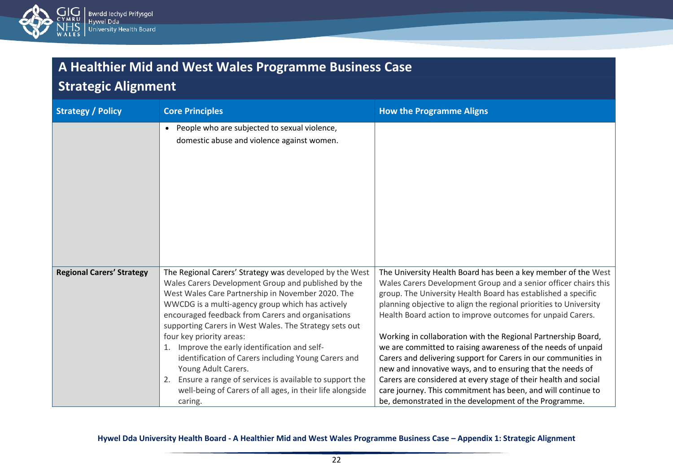

### **Strategic Alignment**

| <b>Strategy / Policy</b>         | <b>Core Principles</b>                                                                                                                                                                                                                                                                                                                                                                                                                                                                                                                                                                                                                 | <b>How the Programme Aligns</b>                                                                                                                                                                                                                                                                                                                                                                                                                                                                                                                                                                                                                                                                                                                                                                   |
|----------------------------------|----------------------------------------------------------------------------------------------------------------------------------------------------------------------------------------------------------------------------------------------------------------------------------------------------------------------------------------------------------------------------------------------------------------------------------------------------------------------------------------------------------------------------------------------------------------------------------------------------------------------------------------|---------------------------------------------------------------------------------------------------------------------------------------------------------------------------------------------------------------------------------------------------------------------------------------------------------------------------------------------------------------------------------------------------------------------------------------------------------------------------------------------------------------------------------------------------------------------------------------------------------------------------------------------------------------------------------------------------------------------------------------------------------------------------------------------------|
|                                  | People who are subjected to sexual violence,<br>$\bullet$<br>domestic abuse and violence against women.                                                                                                                                                                                                                                                                                                                                                                                                                                                                                                                                |                                                                                                                                                                                                                                                                                                                                                                                                                                                                                                                                                                                                                                                                                                                                                                                                   |
| <b>Regional Carers' Strategy</b> | The Regional Carers' Strategy was developed by the West<br>Wales Carers Development Group and published by the<br>West Wales Care Partnership in November 2020. The<br>WWCDG is a multi-agency group which has actively<br>encouraged feedback from Carers and organisations<br>supporting Carers in West Wales. The Strategy sets out<br>four key priority areas:<br>Improve the early identification and self-<br>identification of Carers including Young Carers and<br>Young Adult Carers.<br>Ensure a range of services is available to support the<br>2.<br>well-being of Carers of all ages, in their life alongside<br>caring. | The University Health Board has been a key member of the West<br>Wales Carers Development Group and a senior officer chairs this<br>group. The University Health Board has established a specific<br>planning objective to align the regional priorities to University<br>Health Board action to improve outcomes for unpaid Carers.<br>Working in collaboration with the Regional Partnership Board,<br>we are committed to raising awareness of the needs of unpaid<br>Carers and delivering support for Carers in our communities in<br>new and innovative ways, and to ensuring that the needs of<br>Carers are considered at every stage of their health and social<br>care journey. This commitment has been, and will continue to<br>be, demonstrated in the development of the Programme. |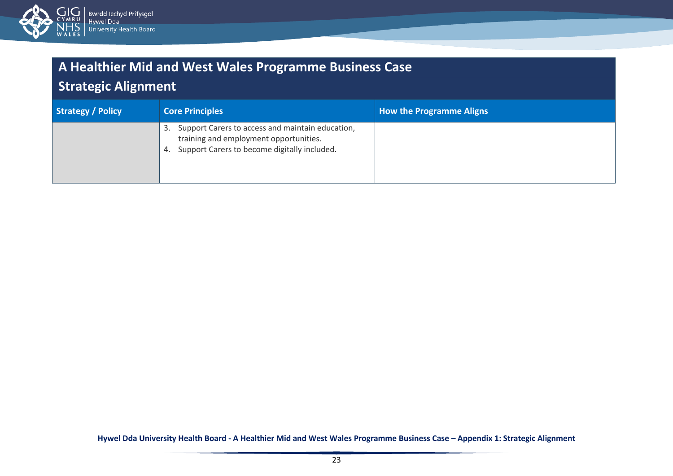

### **Strategic Alignment**

| Strategy / Policy | <b>Core Principles</b>                                                                                                                                 | <b>How the Programme Aligns</b> |
|-------------------|--------------------------------------------------------------------------------------------------------------------------------------------------------|---------------------------------|
|                   | Support Carers to access and maintain education,<br>3.<br>training and employment opportunities.<br>Support Carers to become digitally included.<br>4. |                                 |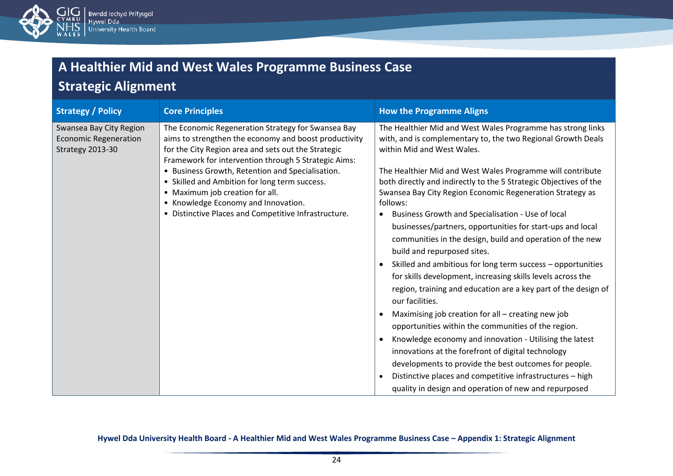

### **Strategic Alignment**

| <b>Strategy / Policy</b>                                                    | <b>Core Principles</b>                                                                                                                                                                                                     | <b>How the Programme Aligns</b>                                                                                                                           |
|-----------------------------------------------------------------------------|----------------------------------------------------------------------------------------------------------------------------------------------------------------------------------------------------------------------------|-----------------------------------------------------------------------------------------------------------------------------------------------------------|
| Swansea Bay City Region<br><b>Economic Regeneration</b><br>Strategy 2013-30 | The Economic Regeneration Strategy for Swansea Bay<br>aims to strengthen the economy and boost productivity<br>for the City Region area and sets out the Strategic<br>Framework for intervention through 5 Strategic Aims: | The Healthier Mid and West Wales Programme has strong links<br>with, and is complementary to, the two Regional Growth Deals<br>within Mid and West Wales. |
|                                                                             | • Business Growth, Retention and Specialisation.                                                                                                                                                                           | The Healthier Mid and West Wales Programme will contribute                                                                                                |
|                                                                             | • Skilled and Ambition for long term success.<br>• Maximum job creation for all.                                                                                                                                           | both directly and indirectly to the 5 Strategic Objectives of the<br>Swansea Bay City Region Economic Regeneration Strategy as                            |
|                                                                             | • Knowledge Economy and Innovation.                                                                                                                                                                                        | follows:                                                                                                                                                  |
|                                                                             | • Distinctive Places and Competitive Infrastructure.                                                                                                                                                                       | Business Growth and Specialisation - Use of local<br>$\bullet$                                                                                            |
|                                                                             |                                                                                                                                                                                                                            | businesses/partners, opportunities for start-ups and local                                                                                                |
|                                                                             |                                                                                                                                                                                                                            | communities in the design, build and operation of the new                                                                                                 |
|                                                                             |                                                                                                                                                                                                                            | build and repurposed sites.                                                                                                                               |
|                                                                             |                                                                                                                                                                                                                            | Skilled and ambitious for long term success - opportunities<br>$\bullet$                                                                                  |
|                                                                             |                                                                                                                                                                                                                            | for skills development, increasing skills levels across the                                                                                               |
|                                                                             |                                                                                                                                                                                                                            | region, training and education are a key part of the design of<br>our facilities.                                                                         |
|                                                                             |                                                                                                                                                                                                                            | Maximising job creation for all - creating new job                                                                                                        |
|                                                                             |                                                                                                                                                                                                                            | opportunities within the communities of the region.                                                                                                       |
|                                                                             |                                                                                                                                                                                                                            | Knowledge economy and innovation - Utilising the latest                                                                                                   |
|                                                                             |                                                                                                                                                                                                                            | innovations at the forefront of digital technology                                                                                                        |
|                                                                             |                                                                                                                                                                                                                            | developments to provide the best outcomes for people.                                                                                                     |
|                                                                             |                                                                                                                                                                                                                            | Distinctive places and competitive infrastructures - high<br>$\bullet$                                                                                    |
|                                                                             |                                                                                                                                                                                                                            | quality in design and operation of new and repurposed                                                                                                     |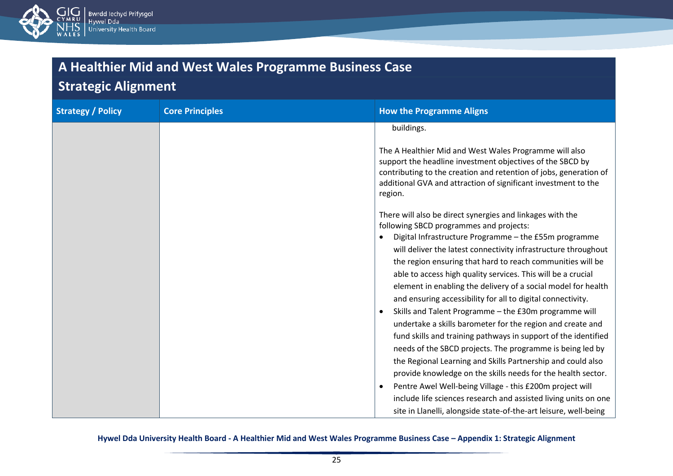

# **Strategic Alignment**

| <b>Strategy / Policy</b> | <b>Core Principles</b> | <b>How the Programme Aligns</b>                                                                                                                                                                                                                                                                                                                                                                                                                                                                                                                                                                                                                                                                                                                                                                                                                                                                                                                                                                                                                                                                                 |
|--------------------------|------------------------|-----------------------------------------------------------------------------------------------------------------------------------------------------------------------------------------------------------------------------------------------------------------------------------------------------------------------------------------------------------------------------------------------------------------------------------------------------------------------------------------------------------------------------------------------------------------------------------------------------------------------------------------------------------------------------------------------------------------------------------------------------------------------------------------------------------------------------------------------------------------------------------------------------------------------------------------------------------------------------------------------------------------------------------------------------------------------------------------------------------------|
|                          |                        | buildings.<br>The A Healthier Mid and West Wales Programme will also<br>support the headline investment objectives of the SBCD by<br>contributing to the creation and retention of jobs, generation of<br>additional GVA and attraction of significant investment to the<br>region.                                                                                                                                                                                                                                                                                                                                                                                                                                                                                                                                                                                                                                                                                                                                                                                                                             |
|                          |                        | There will also be direct synergies and linkages with the<br>following SBCD programmes and projects:<br>Digital Infrastructure Programme - the £55m programme<br>$\bullet$<br>will deliver the latest connectivity infrastructure throughout<br>the region ensuring that hard to reach communities will be<br>able to access high quality services. This will be a crucial<br>element in enabling the delivery of a social model for health<br>and ensuring accessibility for all to digital connectivity.<br>Skills and Talent Programme - the £30m programme will<br>$\bullet$<br>undertake a skills barometer for the region and create and<br>fund skills and training pathways in support of the identified<br>needs of the SBCD projects. The programme is being led by<br>the Regional Learning and Skills Partnership and could also<br>provide knowledge on the skills needs for the health sector.<br>Pentre Awel Well-being Village - this £200m project will<br>include life sciences research and assisted living units on one<br>site in Llanelli, alongside state-of-the-art leisure, well-being |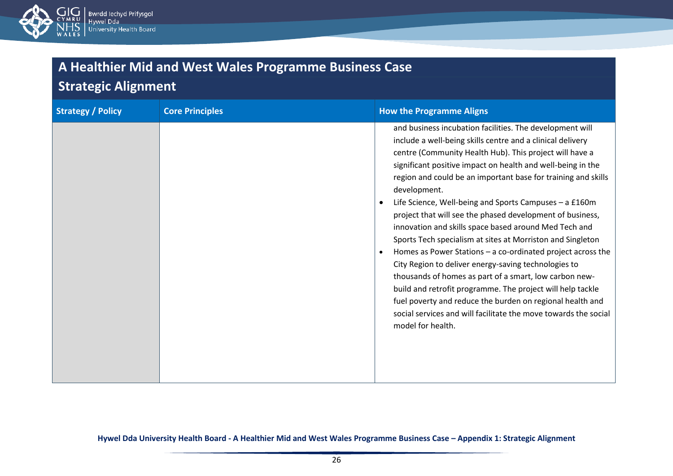

### **Strategic Alignment**

| <b>Strategy / Policy</b> | <b>Core Principles</b> | <b>How the Programme Aligns</b>                                                                                                                                                                                                                                                                                                                                                                                                                                                                                                                                                                                                                                                                                                                                                                                                                                                                                                                                                                               |
|--------------------------|------------------------|---------------------------------------------------------------------------------------------------------------------------------------------------------------------------------------------------------------------------------------------------------------------------------------------------------------------------------------------------------------------------------------------------------------------------------------------------------------------------------------------------------------------------------------------------------------------------------------------------------------------------------------------------------------------------------------------------------------------------------------------------------------------------------------------------------------------------------------------------------------------------------------------------------------------------------------------------------------------------------------------------------------|
|                          |                        | and business incubation facilities. The development will<br>include a well-being skills centre and a clinical delivery<br>centre (Community Health Hub). This project will have a<br>significant positive impact on health and well-being in the<br>region and could be an important base for training and skills<br>development.<br>Life Science, Well-being and Sports Campuses - a £160m<br>$\bullet$<br>project that will see the phased development of business,<br>innovation and skills space based around Med Tech and<br>Sports Tech specialism at sites at Morriston and Singleton<br>Homes as Power Stations - a co-ordinated project across the<br>$\bullet$<br>City Region to deliver energy-saving technologies to<br>thousands of homes as part of a smart, low carbon new-<br>build and retrofit programme. The project will help tackle<br>fuel poverty and reduce the burden on regional health and<br>social services and will facilitate the move towards the social<br>model for health. |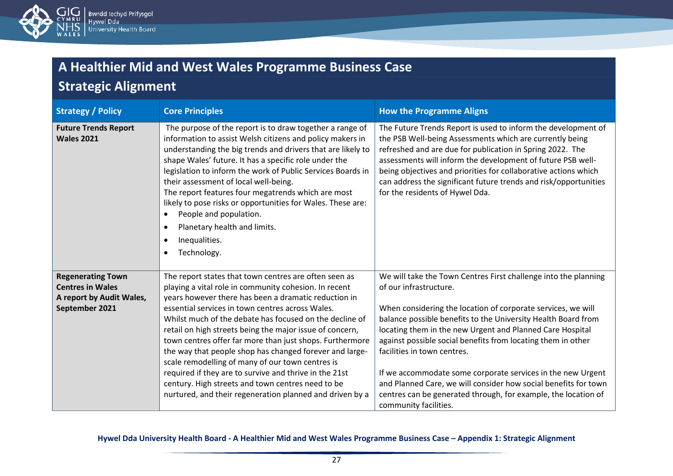

# **Strategic Alignment**

| <b>Strategy / Policy</b>                         | <b>Core Principles</b>                                                                                                                                                                                                                                                                                                                                                                                                                                                                                                                                                                                      | <b>How the Programme Aligns</b>                                                                                                                                                                                                                                                                                                                                                                                                 |
|--------------------------------------------------|-------------------------------------------------------------------------------------------------------------------------------------------------------------------------------------------------------------------------------------------------------------------------------------------------------------------------------------------------------------------------------------------------------------------------------------------------------------------------------------------------------------------------------------------------------------------------------------------------------------|---------------------------------------------------------------------------------------------------------------------------------------------------------------------------------------------------------------------------------------------------------------------------------------------------------------------------------------------------------------------------------------------------------------------------------|
| <b>Future Trends Report</b><br><b>Wales 2021</b> | The purpose of the report is to draw together a range of<br>information to assist Welsh citizens and policy makers in<br>understanding the big trends and drivers that are likely to<br>shape Wales' future. It has a specific role under the<br>legislation to inform the work of Public Services Boards in<br>their assessment of local well-being.<br>The report features four megatrends which are most<br>likely to pose risks or opportunities for Wales. These are:<br>People and population.<br>$\bullet$<br>Planetary health and limits.<br>$\bullet$<br>Inequalities.<br>Technology.<br>$\bullet$ | The Future Trends Report is used to inform the development of<br>the PSB Well-being Assessments which are currently being<br>refreshed and are due for publication in Spring 2022. The<br>assessments will inform the development of future PSB well-<br>being objectives and priorities for collaborative actions which<br>can address the significant future trends and risk/opportunities<br>for the residents of Hywel Dda. |
| <b>Regenerating Town</b>                         | The report states that town centres are often seen as                                                                                                                                                                                                                                                                                                                                                                                                                                                                                                                                                       | We will take the Town Centres First challenge into the planning                                                                                                                                                                                                                                                                                                                                                                 |
| <b>Centres in Wales</b>                          | playing a vital role in community cohesion. In recent                                                                                                                                                                                                                                                                                                                                                                                                                                                                                                                                                       | of our infrastructure.                                                                                                                                                                                                                                                                                                                                                                                                          |
| A report by Audit Wales,<br>September 2021       | years however there has been a dramatic reduction in<br>essential services in town centres across Wales.                                                                                                                                                                                                                                                                                                                                                                                                                                                                                                    | When considering the location of corporate services, we will                                                                                                                                                                                                                                                                                                                                                                    |
|                                                  | Whilst much of the debate has focused on the decline of                                                                                                                                                                                                                                                                                                                                                                                                                                                                                                                                                     | balance possible benefits to the University Health Board from                                                                                                                                                                                                                                                                                                                                                                   |
|                                                  | retail on high streets being the major issue of concern,                                                                                                                                                                                                                                                                                                                                                                                                                                                                                                                                                    | locating them in the new Urgent and Planned Care Hospital                                                                                                                                                                                                                                                                                                                                                                       |
|                                                  | town centres offer far more than just shops. Furthermore                                                                                                                                                                                                                                                                                                                                                                                                                                                                                                                                                    | against possible social benefits from locating them in other                                                                                                                                                                                                                                                                                                                                                                    |
|                                                  | the way that people shop has changed forever and large-                                                                                                                                                                                                                                                                                                                                                                                                                                                                                                                                                     | facilities in town centres.                                                                                                                                                                                                                                                                                                                                                                                                     |
|                                                  | scale remodelling of many of our town centres is<br>required if they are to survive and thrive in the 21st                                                                                                                                                                                                                                                                                                                                                                                                                                                                                                  | If we accommodate some corporate services in the new Urgent                                                                                                                                                                                                                                                                                                                                                                     |
|                                                  | century. High streets and town centres need to be                                                                                                                                                                                                                                                                                                                                                                                                                                                                                                                                                           | and Planned Care, we will consider how social benefits for town                                                                                                                                                                                                                                                                                                                                                                 |
|                                                  | nurtured, and their regeneration planned and driven by a                                                                                                                                                                                                                                                                                                                                                                                                                                                                                                                                                    | centres can be generated through, for example, the location of<br>community facilities.                                                                                                                                                                                                                                                                                                                                         |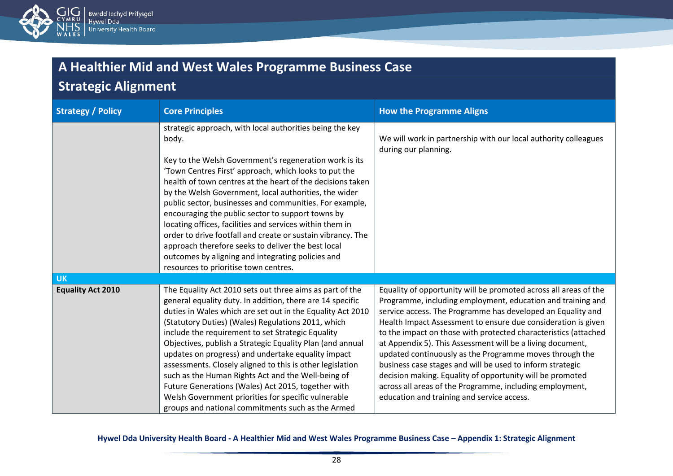

### **Strategic Alignment**

| <b>Strategy / Policy</b> | <b>Core Principles</b>                                                                                                                                                                                                                                                                                                                                                                                                                                                                                                                                                                                                                                                                                     | <b>How the Programme Aligns</b>                                                                                                                                                                                                                                                                                                                                                                                                                                                                                                                                                                                                                                                                 |
|--------------------------|------------------------------------------------------------------------------------------------------------------------------------------------------------------------------------------------------------------------------------------------------------------------------------------------------------------------------------------------------------------------------------------------------------------------------------------------------------------------------------------------------------------------------------------------------------------------------------------------------------------------------------------------------------------------------------------------------------|-------------------------------------------------------------------------------------------------------------------------------------------------------------------------------------------------------------------------------------------------------------------------------------------------------------------------------------------------------------------------------------------------------------------------------------------------------------------------------------------------------------------------------------------------------------------------------------------------------------------------------------------------------------------------------------------------|
|                          | strategic approach, with local authorities being the key<br>body.<br>Key to the Welsh Government's regeneration work is its<br>'Town Centres First' approach, which looks to put the<br>health of town centres at the heart of the decisions taken<br>by the Welsh Government, local authorities, the wider<br>public sector, businesses and communities. For example,<br>encouraging the public sector to support towns by<br>locating offices, facilities and services within them in<br>order to drive footfall and create or sustain vibrancy. The<br>approach therefore seeks to deliver the best local<br>outcomes by aligning and integrating policies and<br>resources to prioritise town centres. | We will work in partnership with our local authority colleagues<br>during our planning.                                                                                                                                                                                                                                                                                                                                                                                                                                                                                                                                                                                                         |
| <b>UK</b>                |                                                                                                                                                                                                                                                                                                                                                                                                                                                                                                                                                                                                                                                                                                            |                                                                                                                                                                                                                                                                                                                                                                                                                                                                                                                                                                                                                                                                                                 |
| <b>Equality Act 2010</b> | The Equality Act 2010 sets out three aims as part of the<br>general equality duty. In addition, there are 14 specific<br>duties in Wales which are set out in the Equality Act 2010<br>(Statutory Duties) (Wales) Regulations 2011, which<br>include the requirement to set Strategic Equality<br>Objectives, publish a Strategic Equality Plan (and annual<br>updates on progress) and undertake equality impact<br>assessments. Closely aligned to this is other legislation<br>such as the Human Rights Act and the Well-being of<br>Future Generations (Wales) Act 2015, together with<br>Welsh Government priorities for specific vulnerable<br>groups and national commitments such as the Armed     | Equality of opportunity will be promoted across all areas of the<br>Programme, including employment, education and training and<br>service access. The Programme has developed an Equality and<br>Health Impact Assessment to ensure due consideration is given<br>to the impact on those with protected characteristics (attached<br>at Appendix 5). This Assessment will be a living document,<br>updated continuously as the Programme moves through the<br>business case stages and will be used to inform strategic<br>decision making. Equality of opportunity will be promoted<br>across all areas of the Programme, including employment,<br>education and training and service access. |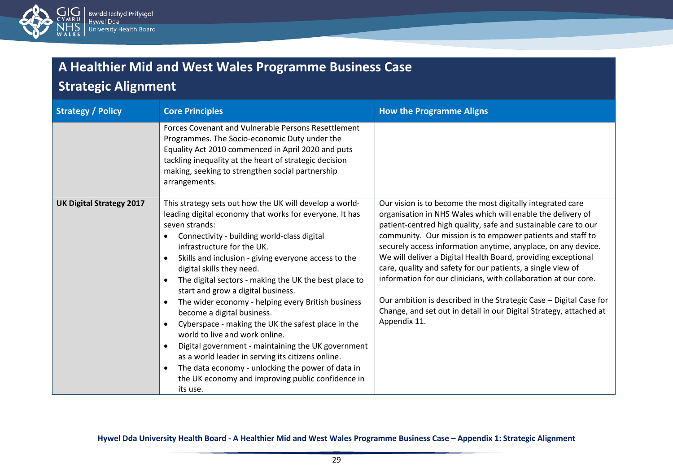

# **Strategic Alignment**

| <b>Strategy / Policy</b>        | <b>Core Principles</b>                                                                                                                                                                                                                                                                                                                                                                                                                                                                                                                                                                                                                                                                                                                                                                                             | <b>How the Programme Aligns</b>                                                                                                                                                                                                                                                                                                                                                                                                                                                                                                                                                                                                                                                           |
|---------------------------------|--------------------------------------------------------------------------------------------------------------------------------------------------------------------------------------------------------------------------------------------------------------------------------------------------------------------------------------------------------------------------------------------------------------------------------------------------------------------------------------------------------------------------------------------------------------------------------------------------------------------------------------------------------------------------------------------------------------------------------------------------------------------------------------------------------------------|-------------------------------------------------------------------------------------------------------------------------------------------------------------------------------------------------------------------------------------------------------------------------------------------------------------------------------------------------------------------------------------------------------------------------------------------------------------------------------------------------------------------------------------------------------------------------------------------------------------------------------------------------------------------------------------------|
|                                 | Forces Covenant and Vulnerable Persons Resettlement<br>Programmes. The Socio-economic Duty under the<br>Equality Act 2010 commenced in April 2020 and puts<br>tackling inequality at the heart of strategic decision<br>making, seeking to strengthen social partnership<br>arrangements.                                                                                                                                                                                                                                                                                                                                                                                                                                                                                                                          |                                                                                                                                                                                                                                                                                                                                                                                                                                                                                                                                                                                                                                                                                           |
| <b>UK Digital Strategy 2017</b> | This strategy sets out how the UK will develop a world-<br>leading digital economy that works for everyone. It has<br>seven strands:<br>Connectivity - building world-class digital<br>infrastructure for the UK.<br>Skills and inclusion - giving everyone access to the<br>digital skills they need.<br>The digital sectors - making the UK the best place to<br>start and grow a digital business.<br>The wider economy - helping every British business<br>become a digital business.<br>Cyberspace - making the UK the safest place in the<br>world to live and work online.<br>Digital government - maintaining the UK government<br>as a world leader in serving its citizens online.<br>The data economy - unlocking the power of data in<br>the UK economy and improving public confidence in<br>its use. | Our vision is to become the most digitally integrated care<br>organisation in NHS Wales which will enable the delivery of<br>patient-centred high quality, safe and sustainable care to our<br>community. Our mission is to empower patients and staff to<br>securely access information anytime, anyplace, on any device.<br>We will deliver a Digital Health Board, providing exceptional<br>care, quality and safety for our patients, a single view of<br>information for our clinicians, with collaboration at our core.<br>Our ambition is described in the Strategic Case – Digital Case for<br>Change, and set out in detail in our Digital Strategy, attached at<br>Appendix 11. |